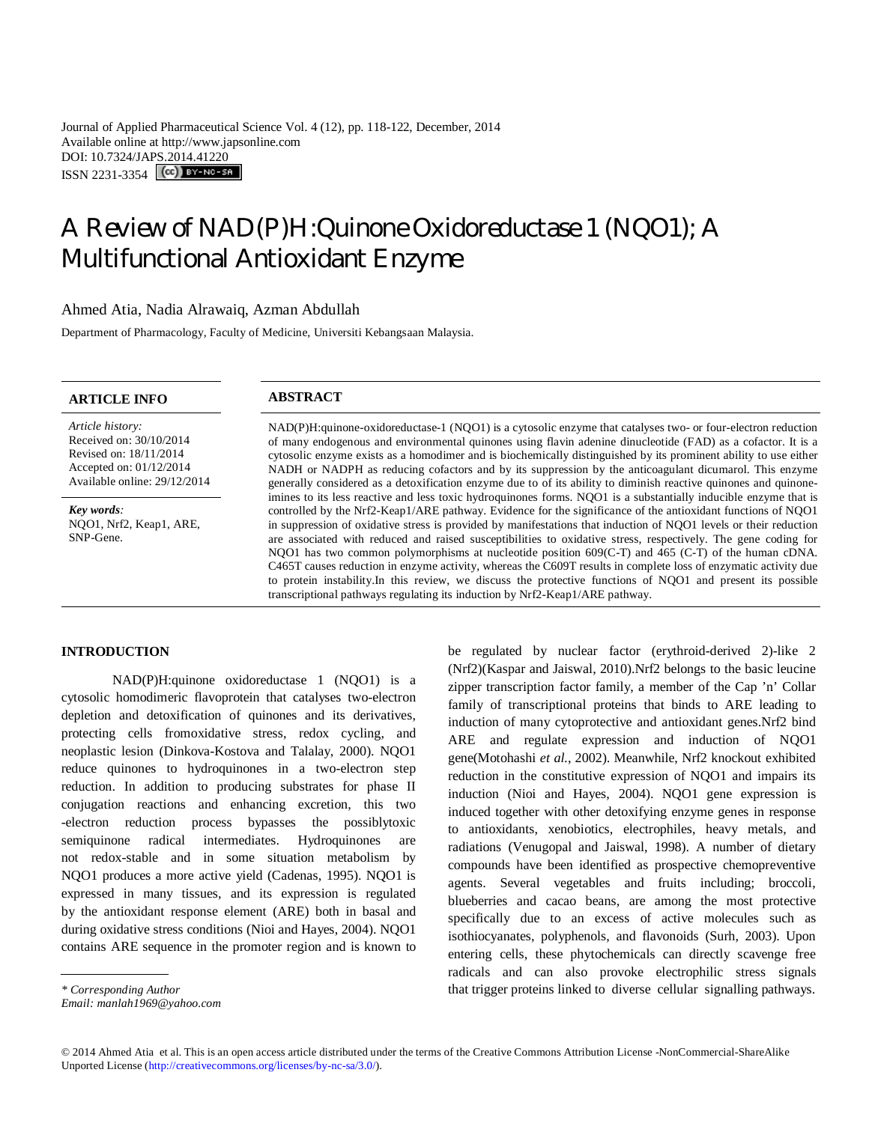Journal of Applied Pharmaceutical Science Vol. 4 (12), pp. 118-122, December, 2014 Available online at http://www.japsonline.com DOI: 10.7324/JAPS.2014.41220 ISSN 2231-3354 (CC) BY-NO-SA

# A Review of NAD(P)H:Quinone Oxidoreductase 1 (NQO1); A Multifunctional Antioxidant Enzyme

### Ahmed Atia, Nadia Alrawaiq, Azman Abdullah

Department of Pharmacology, Faculty of Medicine, Universiti Kebangsaan Malaysia.

# **ARTICLE INFO ABSTRACT**

*Article history:* Received on: 30/10/2014 Revised on: 18/11/2014 Accepted on: 01/12/2014 Available online: 29/12/2014

*Key words:*  NQO1, Nrf2, Keap1, ARE, SNP-Gene.

NAD(P)H:quinone-oxidoreductase-1 (NQO1) is a cytosolic enzyme that catalyses two- or four-electron reduction of many endogenous and environmental quinones using flavin adenine dinucleotide (FAD) as a cofactor. It is a cytosolic enzyme exists as a homodimer and is biochemically distinguished by its prominent ability to use either NADH or NADPH as reducing cofactors and by its suppression by the anticoagulant dicumarol. This enzyme generally considered as a detoxification enzyme due to of its ability to diminish reactive quinones and quinoneimines to its less reactive and less toxic hydroquinones forms. NQO1 is a substantially inducible enzyme that is controlled by the Nrf2-Keap1/ARE pathway. Evidence for the significance of the antioxidant functions of NQO1 in suppression of oxidative stress is provided by manifestations that induction of NQO1 levels or their reduction are associated with reduced and raised susceptibilities to oxidative stress, respectively. The gene coding for NQO1 has two common polymorphisms at nucleotide position 609(C-T) and 465 (C-T) of the human cDNA. C465T causes reduction in enzyme activity, whereas the C609T results in complete loss of enzymatic activity due to protein instability.In this review, we discuss the protective functions of NQO1 and present its possible transcriptional pathways regulating its induction by Nrf2-Keap1/ARE pathway.

#### **INTRODUCTION**

NAD(P)H:quinone oxidoreductase 1 (NQO1) is a cytosolic homodimeric flavoprotein that catalyses two-electron depletion and detoxification of quinones and its derivatives, protecting cells fromoxidative stress, redox cycling, and neoplastic lesion (Dinkova-Kostova and Talalay, 2000). NQO1 reduce quinones to hydroquinones in a two-electron step reduction. In addition to producing substrates for phase II conjugation reactions and enhancing excretion, this two -electron reduction process bypasses the possiblytoxic semiquinone radical intermediates. Hydroquinones are not redox-stable and in some situation metabolism by NQO1 produces a more active yield (Cadenas, 1995). NQO1 is expressed in many tissues, and its expression is regulated by the antioxidant response element (ARE) both in basal and during oxidative stress conditions (Nioi and Hayes, 2004). NQO1 contains ARE sequence in the promoter region and is known to (Nrf2)(Kaspar and Jaiswal, 2010).Nrf2 belongs to the basic leucine zipper transcription factor family, a member of the Cap 'n' Collar family of transcriptional proteins that binds to ARE leading to induction of many cytoprotective and antioxidant genes.Nrf2 bind ARE and regulate expression and induction of NQO1 gene(Motohashi *et al.*, 2002). Meanwhile, Nrf2 knockout exhibited reduction in the constitutive expression of NQO1 and impairs its induction (Nioi and Hayes, 2004). NQO1 gene expression is induced together with other detoxifying enzyme genes in response to antioxidants, xenobiotics, electrophiles, heavy metals, and radiations (Venugopal and Jaiswal, 1998). A number of dietary compounds have been identified as prospective chemopreventive agents. Several vegetables and fruits including; broccoli, blueberries and cacao beans, are among the most protective specifically due to an excess of active molecules such as isothiocyanates, polyphenols, and flavonoids (Surh, 2003). Upon entering cells, these phytochemicals can directly scavenge free radicals and can also provoke electrophilic stress signals that trigger proteins linked to diverse cellular signalling pathways.

be regulated by nuclear factor (erythroid-derived 2)-like 2

*<sup>\*</sup> Corresponding Author*

*Email: manlah1969@yahoo.com*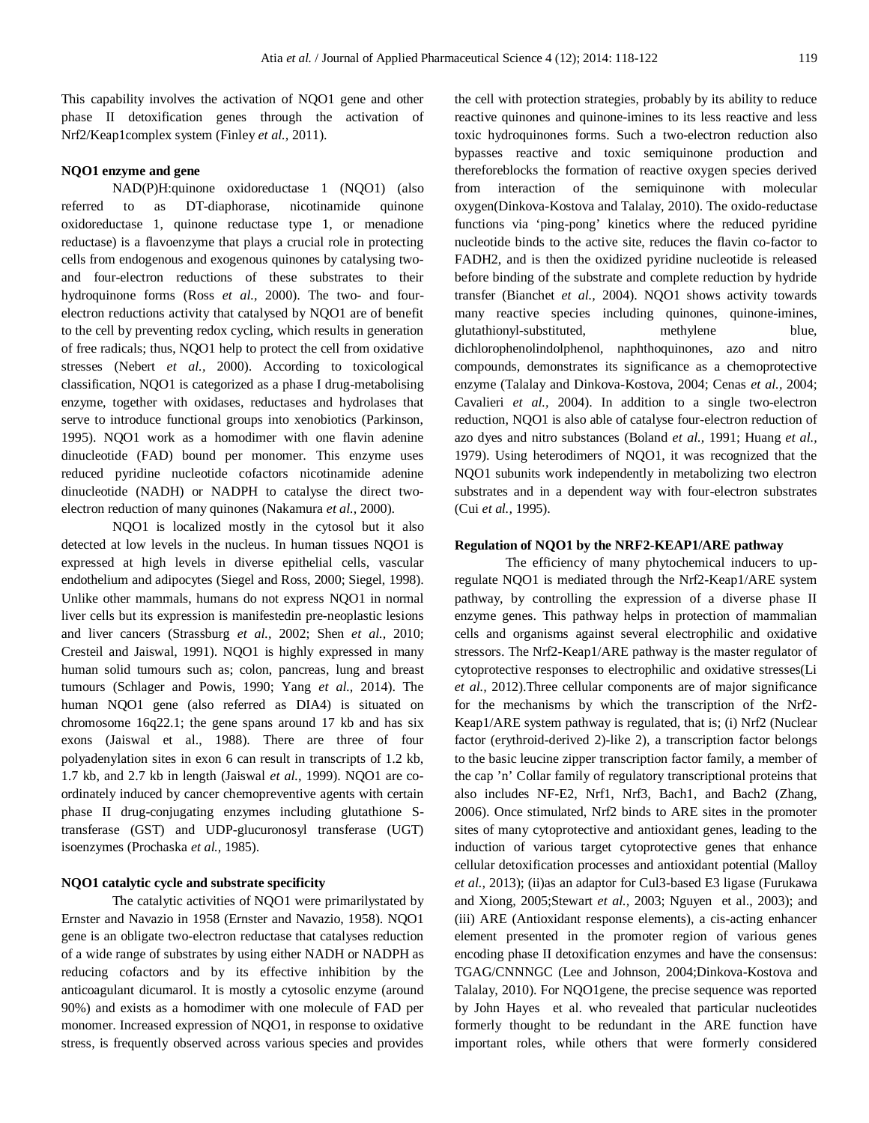This capability involves the activation of NQO1 gene and other phase II detoxification genes through the activation of Nrf2/Keap1complex system (Finley *et al.,* 2011).

# **NQO1 enzyme and gene**

NAD(P)H:quinone oxidoreductase 1 (NQO1) (also referred to as DT-diaphorase, nicotinamide quinone oxidoreductase 1, quinone reductase type 1, or menadione reductase) is a flavoenzyme that plays a crucial role in protecting cells from endogenous and exogenous quinones by catalysing twoand four-electron reductions of these substrates to their hydroquinone forms (Ross *et al.,* 2000). The two- and fourelectron reductions activity that catalysed by NQO1 are of benefit to the cell by preventing redox cycling, which results in generation of free radicals; thus, NQO1 help to protect the cell from oxidative stresses (Nebert *et al.,* 2000). According to toxicological classification, NQO1 is categorized as a phase I drug-metabolising enzyme, together with oxidases, reductases and hydrolases that serve to introduce functional groups into xenobiotics (Parkinson, 1995). NQO1 work as a homodimer with one flavin adenine dinucleotide (FAD) bound per monomer. This enzyme uses reduced pyridine nucleotide cofactors nicotinamide adenine dinucleotide (NADH) or NADPH to catalyse the direct twoelectron reduction of many quinones (Nakamura *et al.,* 2000).

NQO1 is localized mostly in the cytosol but it also detected at low levels in the nucleus. In human tissues NQO1 is expressed at high levels in diverse epithelial cells, vascular endothelium and adipocytes (Siegel and Ross, 2000; Siegel, 1998). Unlike other mammals, humans do not express NQO1 in normal liver cells but its expression is manifestedin pre-neoplastic lesions and liver cancers (Strassburg *et al.,* 2002; Shen *et al.,* 2010; Cresteil and Jaiswal, 1991). NQO1 is highly expressed in many human solid tumours such as; colon, pancreas, lung and breast tumours (Schlager and Powis, 1990; Yang *et al.,* 2014). The human NQO1 gene (also referred as DIA4) is situated on chromosome 16q22.1; the gene spans around 17 kb and has six exons (Jaiswal et al., 1988). There are three of four polyadenylation sites in exon 6 can result in transcripts of 1.2 kb, 1.7 kb, and 2.7 kb in length (Jaiswal *et al.,* 1999). NQO1 are coordinately induced by cancer chemopreventive agents with certain phase II drug-conjugating enzymes including glutathione Stransferase (GST) and UDP-glucuronosyl transferase (UGT) isoenzymes (Prochaska *et al.,* 1985).

### **NQO1 catalytic cycle and substrate specificity**

The catalytic activities of NQO1 were primarilystated by Ernster and Navazio in 1958 (Ernster and Navazio, 1958). NQO1 gene is an obligate two-electron reductase that catalyses reduction of a wide range of substrates by using either NADH or NADPH as reducing cofactors and by its effective inhibition by the anticoagulant dicumarol. It is mostly a cytosolic enzyme (around 90%) and exists as a homodimer with one molecule of FAD per monomer. Increased expression of NQO1, in response to oxidative stress, is frequently observed across various species and provides the cell with protection strategies, probably by its ability to reduce reactive quinones and quinone-imines to its less reactive and less toxic hydroquinones forms. Such a two-electron reduction also bypasses reactive and toxic semiquinone production and thereforeblocks the formation of reactive oxygen species derived from interaction of the semiquinone with molecular oxygen(Dinkova-Kostova and Talalay, 2010). The oxido-reductase functions via 'ping-pong' kinetics where the reduced pyridine nucleotide binds to the active site, reduces the flavin co-factor to FADH2, and is then the oxidized pyridine nucleotide is released before binding of the substrate and complete reduction by hydride transfer (Bianchet *et al.,* 2004). NQO1 shows activity towards many reactive species including quinones, quinone-imines, glutathionyl-substituted, methylene blue, dichlorophenolindolphenol, naphthoquinones, azo and nitro compounds, demonstrates its significance as a chemoprotective enzyme (Talalay and Dinkova-Kostova, 2004; Cenas *et al.,* 2004; Cavalieri *et al.,* 2004). In addition to a single two-electron reduction, NQO1 is also able of catalyse four-electron reduction of azo dyes and nitro substances (Boland *et al.,* 1991; Huang *et al.,* 1979). Using heterodimers of NQO1, it was recognized that the NQO1 subunits work independently in metabolizing two electron substrates and in a dependent way with four-electron substrates (Cui *et al.,* 1995).

# **Regulation of NQO1 by the NRF2-KEAP1/ARE pathway**

The efficiency of many phytochemical inducers to upregulate NQO1 is mediated through the Nrf2-Keap1/ARE system pathway, by controlling the expression of a diverse phase II enzyme genes. This pathway helps in protection of mammalian cells and organisms against several electrophilic and oxidative stressors. The Nrf2-Keap1/ARE pathway is the master regulator of cytoprotective responses to electrophilic and oxidative stresses(Li *et al.,* 2012).Three cellular components are of major significance for the mechanisms by which the transcription of the Nrf2- Keap1/ARE system pathway is regulated, that is; (i) Nrf2 (Nuclear factor (erythroid-derived 2)-like 2), a transcription factor belongs to the basic leucine zipper transcription factor family, a member of the cap 'n' Collar family of regulatory transcriptional proteins that also includes NF-E2, Nrf1, Nrf3, Bach1, and Bach2 (Zhang, 2006). Once stimulated, Nrf2 binds to ARE sites in the promoter sites of many cytoprotective and antioxidant genes, leading to the induction of various target cytoprotective genes that enhance cellular detoxification processes and antioxidant potential (Malloy *et al.,* 2013); (ii)as an adaptor for Cul3-based E3 ligase (Furukawa and Xiong, 2005;Stewart *et al.,* 2003; Nguyen et al., 2003); and (iii) ARE (Antioxidant response elements), a cis-acting enhancer element presented in the promoter region of various genes encoding phase II detoxification enzymes and have the consensus: TGAG/CNNNGC (Lee and Johnson, 2004;Dinkova-Kostova and Talalay, 2010). For NQO1gene, the precise sequence was reported by John Hayes et al. who revealed that particular nucleotides formerly thought to be redundant in the ARE function have important roles, while others that were formerly considered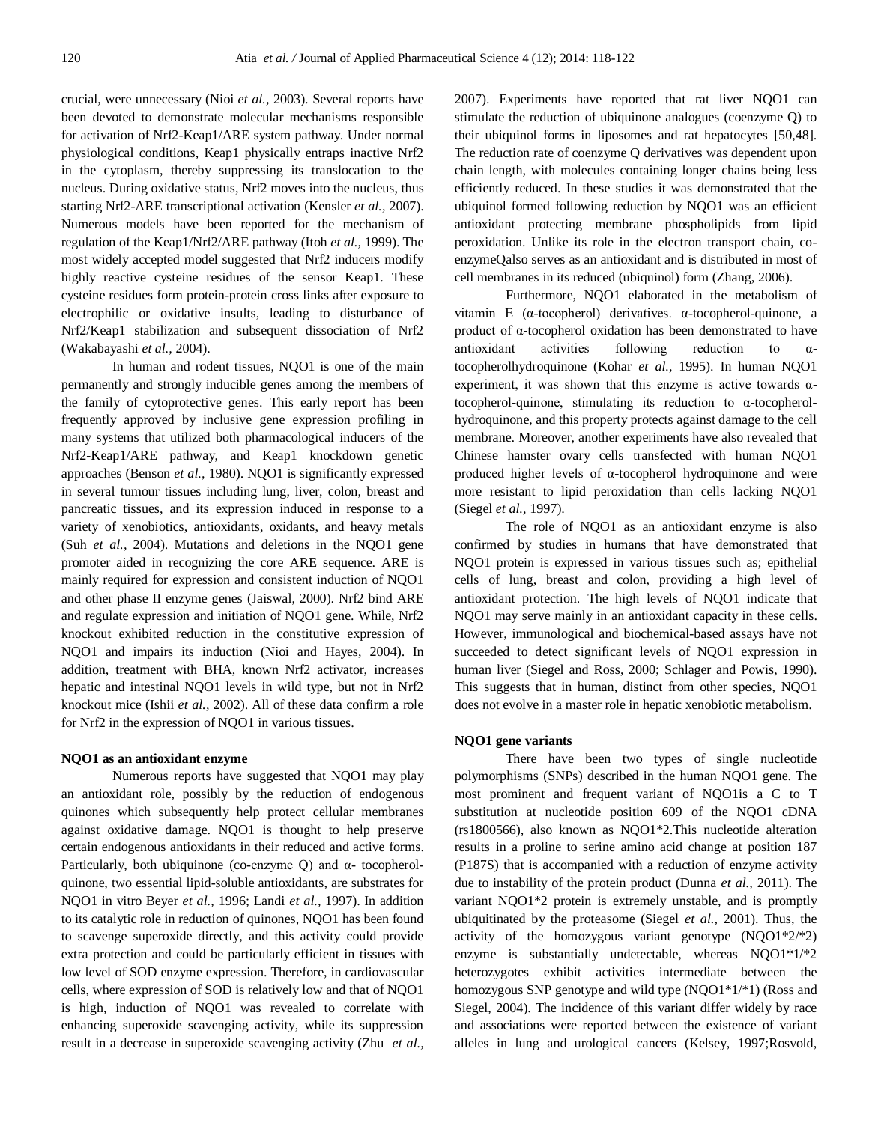crucial, were unnecessary (Nioi *et al.,* 2003). Several reports have been devoted to demonstrate molecular mechanisms responsible for activation of Nrf2-Keap1/ARE system pathway. Under normal physiological conditions, Keap1 physically entraps inactive Nrf2 in the cytoplasm, thereby suppressing its translocation to the nucleus. During oxidative status, Nrf2 moves into the nucleus, thus starting Nrf2-ARE transcriptional activation (Kensler *et al.,* 2007). Numerous models have been reported for the mechanism of regulation of the Keap1/Nrf2/ARE pathway (Itoh *et al.,* 1999). The most widely accepted model suggested that Nrf2 inducers modify highly reactive cysteine residues of the sensor Keap1. These cysteine residues form protein-protein cross links after exposure to electrophilic or oxidative insults, leading to disturbance of Nrf2/Keap1 stabilization and subsequent dissociation of Nrf2 (Wakabayashi *et al.,* 2004).

In human and rodent tissues, NQO1 is one of the main permanently and strongly inducible genes among the members of the family of cytoprotective genes. This early report has been frequently approved by inclusive gene expression profiling in many systems that utilized both pharmacological inducers of the Nrf2-Keap1/ARE pathway, and Keap1 knockdown genetic approaches (Benson *et al.,* 1980). NQO1 is significantly expressed in several tumour tissues including lung, liver, colon, breast and pancreatic tissues, and its expression induced in response to a variety of xenobiotics, antioxidants, oxidants, and heavy metals (Suh *et al.,* 2004). Mutations and deletions in the NQO1 gene promoter aided in recognizing the core ARE sequence. ARE is mainly required for expression and consistent induction of NQO1 and other phase II enzyme genes (Jaiswal, 2000). Nrf2 bind ARE and regulate expression and initiation of NQO1 gene. While, Nrf2 knockout exhibited reduction in the constitutive expression of NQO1 and impairs its induction (Nioi and Hayes, 2004). In addition, treatment with BHA, known Nrf2 activator, increases hepatic and intestinal NQO1 levels in wild type, but not in Nrf2 knockout mice (Ishii *et al.,* 2002). All of these data confirm a role for Nrf2 in the expression of NQO1 in various tissues.

#### **NQO1 as an antioxidant enzyme**

Numerous reports have suggested that NQO1 may play an antioxidant role, possibly by the reduction of endogenous quinones which subsequently help protect cellular membranes against oxidative damage. NQO1 is thought to help preserve certain endogenous antioxidants in their reduced and active forms. Particularly, both ubiquinone (co-enzyme Q) and α- tocopherolquinone, two essential lipid-soluble antioxidants, are substrates for NQO1 in vitro Beyer *et al.,* 1996; Landi *et al.,* 1997). In addition to its catalytic role in reduction of quinones, NQO1 has been found to scavenge superoxide directly, and this activity could provide extra protection and could be particularly efficient in tissues with low level of SOD enzyme expression. Therefore, in cardiovascular cells, where expression of SOD is relatively low and that of NQO1 is high, induction of NQO1 was revealed to correlate with enhancing superoxide scavenging activity, while its suppression result in a decrease in superoxide scavenging activity (Zhu *et al.,*

2007). Experiments have reported that rat liver NQO1 can stimulate the reduction of ubiquinone analogues (coenzyme Q) to their ubiquinol forms in liposomes and rat hepatocytes [50,48]. The reduction rate of coenzyme Q derivatives was dependent upon chain length, with molecules containing longer chains being less efficiently reduced. In these studies it was demonstrated that the ubiquinol formed following reduction by NQO1 was an efficient antioxidant protecting membrane phospholipids from lipid peroxidation. Unlike its role in the electron transport chain, coenzymeQalso serves as an antioxidant and is distributed in most of cell membranes in its reduced (ubiquinol) form (Zhang, 2006).

Furthermore, NQO1 elaborated in the metabolism of vitamin E (α-tocopherol) derivatives. α-tocopherol-quinone, a product of α-tocopherol oxidation has been demonstrated to have antioxidant activities following reduction to αtocopherolhydroquinone (Kohar *et al.,* 1995). In human NQO1 experiment, it was shown that this enzyme is active towards  $\alpha$ tocopherol-quinone, stimulating its reduction to α-tocopherolhydroquinone, and this property protects against damage to the cell membrane. Moreover, another experiments have also revealed that Chinese hamster ovary cells transfected with human NQO1 produced higher levels of α-tocopherol hydroquinone and were more resistant to lipid peroxidation than cells lacking NQO1 (Siegel *et al.,* 1997).

The role of NQO1 as an antioxidant enzyme is also confirmed by studies in humans that have demonstrated that NQO1 protein is expressed in various tissues such as; epithelial cells of lung, breast and colon, providing a high level of antioxidant protection. The high levels of NQO1 indicate that NQO1 may serve mainly in an antioxidant capacity in these cells. However, immunological and biochemical-based assays have not succeeded to detect significant levels of NQO1 expression in human liver (Siegel and Ross, 2000; Schlager and Powis, 1990). This suggests that in human, distinct from other species, NQO1 does not evolve in a master role in hepatic xenobiotic metabolism.

### **NQO1 gene variants**

There have been two types of single nucleotide polymorphisms (SNPs) described in the human NQO1 gene. The most prominent and frequent variant of NQO1is a C to T substitution at nucleotide position 609 of the NQO1 cDNA (rs1800566), also known as NQO1\*2.This nucleotide alteration results in a proline to serine amino acid change at position 187 (P187S) that is accompanied with a reduction of enzyme activity due to instability of the protein product (Dunna *et al.,* 2011). The variant NQO1\*2 protein is extremely unstable, and is promptly ubiquitinated by the proteasome (Siegel *et al.,* 2001). Thus, the activity of the homozygous variant genotype (NQO1\*2/\*2) enzyme is substantially undetectable, whereas NQO1\*1/\*2 heterozygotes exhibit activities intermediate between the homozygous SNP genotype and wild type (NQO1\*1/\*1) (Ross and Siegel, 2004). The incidence of this variant differ widely by race and associations were reported between the existence of variant alleles in lung and urological cancers (Kelsey, 1997;Rosvold,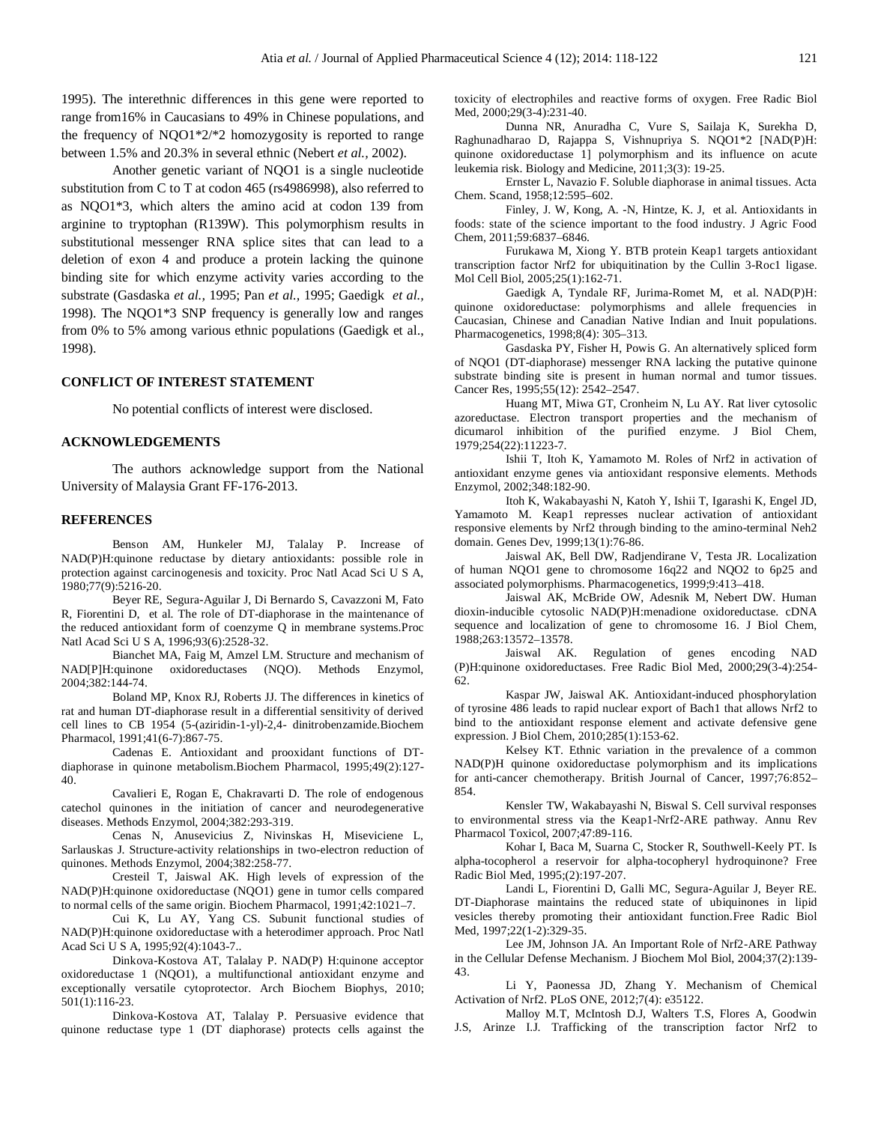1995). The interethnic differences in this gene were reported to range from16% in Caucasians to 49% in Chinese populations, and the frequency of NQO1\*2/\*2 homozygosity is reported to range between 1.5% and 20.3% in several ethnic (Nebert *et al.,* 2002).

Another genetic variant of NQO1 is a single nucleotide substitution from C to T at codon 465 (rs4986998), also referred to as NQO1\*3, which alters the amino acid at codon 139 from arginine to tryptophan (R139W). This polymorphism results in substitutional messenger RNA splice sites that can lead to a deletion of exon 4 and produce a protein lacking the quinone binding site for which enzyme activity varies according to the substrate (Gasdaska *et al.,* 1995; Pan *et al.,* 1995; Gaedigk *et al.,* 1998). The NQO1\*3 SNP frequency is generally low and ranges from 0% to 5% among various ethnic populations (Gaedigk et al., 1998).

# **CONFLICT OF INTEREST STATEMENT**

No potential conflicts of interest were disclosed.

#### **ACKNOWLEDGEMENTS**

The authors acknowledge support from the National University of Malaysia Grant FF-176-2013.

#### **REFERENCES**

Benson AM, Hunkeler MJ, Talalay P. Increase of NAD(P)H:quinone reductase by dietary antioxidants: possible role in protection against carcinogenesis and toxicity. Proc Natl Acad Sci U S A, 1980;77(9):5216-20.

Beyer RE, Segura-Aguilar J, Di Bernardo S, Cavazzoni M, Fato R, Fiorentini D, et al. The role of DT-diaphorase in the maintenance of the reduced antioxidant form of coenzyme Q in membrane systems.Proc Natl Acad Sci U S A, 1996;93(6):2528-32.

Bianchet MA, Faig M, Amzel LM. Structure and mechanism of NAD[P]H:quinone oxidoreductases (NQO). Methods Enzymol, 2004;382:144-74.

Boland MP, Knox RJ, Roberts JJ. The differences in kinetics of rat and human DT-diaphorase result in a differential sensitivity of derived cell lines to CB 1954 (5-(aziridin-1-yl)-2,4- dinitrobenzamide.Biochem Pharmacol, 1991;41(6-7):867-75.

Cadenas E. Antioxidant and prooxidant functions of DTdiaphorase in quinone metabolism.Biochem Pharmacol, 1995;49(2):127- 40.

Cavalieri E, Rogan E, Chakravarti D. The role of endogenous catechol quinones in the initiation of cancer and neurodegenerative diseases. Methods Enzymol, 2004;382:293-319.

Cenas N, Anusevicius Z, Nivinskas H, Miseviciene L, Sarlauskas J. Structure-activity relationships in two-electron reduction of quinones. Methods Enzymol, 2004;382:258-77.

Cresteil T, Jaiswal AK. High levels of expression of the NAD(P)H:quinone oxidoreductase (NQO1) gene in tumor cells compared to normal cells of the same origin. Biochem Pharmacol, 1991;42:1021–7.

Cui K, Lu AY, Yang CS. Subunit functional studies of NAD(P)H:quinone oxidoreductase with a heterodimer approach. Proc Natl Acad Sci U S A, 1995;92(4):1043-7..

Dinkova-Kostova AT, Talalay P. NAD(P) H:quinone acceptor oxidoreductase 1 (NQO1), a multifunctional antioxidant enzyme and exceptionally versatile cytoprotector. Arch Biochem Biophys, 2010; 501(1):116-23.

Dinkova-Kostova AT, Talalay P. Persuasive evidence that quinone reductase type 1 (DT diaphorase) protects cells against the toxicity of electrophiles and reactive forms of oxygen. Free Radic Biol Med, 2000;29(3-4):231-40.

Dunna NR, Anuradha C, Vure S, Sailaja K, Surekha D, Raghunadharao D, Rajappa S, Vishnupriya S. NQO1\*2 [NAD(P)H: quinone oxidoreductase 1] polymorphism and its influence on acute leukemia risk. Biology and Medicine, 2011;3(3): 19-25.

Ernster L, Navazio F. Soluble diaphorase in animal tissues. Acta Chem. Scand, 1958;12:595–602.

Finley, J. W, Kong, A. -N, Hintze, K. J, et al. Antioxidants in foods: state of the science important to the food industry. J Agric Food Chem, 2011;59:6837–6846.

Furukawa M, Xiong Y. BTB protein Keap1 targets antioxidant transcription factor Nrf2 for ubiquitination by the Cullin 3-Roc1 ligase. Mol Cell Biol, 2005;25(1):162-71.

Gaedigk A, Tyndale RF, Jurima-Romet M, et al. NAD(P)H: quinone oxidoreductase: polymorphisms and allele frequencies in Caucasian, Chinese and Canadian Native Indian and Inuit populations. Pharmacogenetics, 1998;8(4): 305–313.

Gasdaska PY, Fisher H, Powis G. An alternatively spliced form of NQO1 (DT-diaphorase) messenger RNA lacking the putative quinone substrate binding site is present in human normal and tumor tissues. Cancer Res, 1995;55(12): 2542–2547.

Huang MT, Miwa GT, Cronheim N, Lu AY. Rat liver cytosolic azoreductase. Electron transport properties and the mechanism of dicumarol inhibition of the purified enzyme. J Biol Chem, 1979;254(22):11223-7.

Ishii T, Itoh K, Yamamoto M. Roles of Nrf2 in activation of antioxidant enzyme genes via antioxidant responsive elements. Methods Enzymol, 2002;348:182-90.

Itoh K, Wakabayashi N, Katoh Y, Ishii T, Igarashi K, Engel JD, Yamamoto M. Keap1 represses nuclear activation of antioxidant responsive elements by Nrf2 through binding to the amino-terminal Neh2 domain. Genes Dev, 1999;13(1):76-86.

Jaiswal AK, Bell DW, Radjendirane V, Testa JR. Localization of human NQO1 gene to chromosome 16q22 and NQO2 to 6p25 and associated polymorphisms. Pharmacogenetics, 1999;9:413–418.

Jaiswal AK, McBride OW, Adesnik M, Nebert DW. Human dioxin-inducible cytosolic NAD(P)H:menadione oxidoreductase. cDNA sequence and localization of gene to chromosome 16. J Biol Chem, 1988;263:13572–13578.

Jaiswal AK. Regulation of genes encoding NAD (P)H:quinone oxidoreductases. Free Radic Biol Med, 2000;29(3-4):254- 62.

Kaspar JW, Jaiswal AK. Antioxidant-induced phosphorylation of tyrosine 486 leads to rapid nuclear export of Bach1 that allows Nrf2 to bind to the antioxidant response element and activate defensive gene expression. J Biol Chem, 2010;285(1):153-62.

Kelsey KT. Ethnic variation in the prevalence of a common NAD(P)H quinone oxidoreductase polymorphism and its implications for anti-cancer chemotherapy. British Journal of Cancer, 1997;76:852– 854.

Kensler TW, Wakabayashi N, Biswal S. Cell survival responses to environmental stress via the Keap1-Nrf2-ARE pathway. Annu Rev Pharmacol Toxicol, 2007;47:89-116.

Kohar I, Baca M, Suarna C, Stocker R, Southwell-Keely PT. Is alpha-tocopherol a reservoir for alpha-tocopheryl hydroquinone? Free Radic Biol Med, 1995;(2):197-207.

Landi L, Fiorentini D, Galli MC, Segura-Aguilar J, Beyer RE. DT-Diaphorase maintains the reduced state of ubiquinones in lipid vesicles thereby promoting their antioxidant function.Free Radic Biol Med, 1997;22(1-2):329-35.

Lee JM, Johnson JA. An Important Role of Nrf2-ARE Pathway in the Cellular Defense Mechanism. J Biochem Mol Biol, 2004;37(2):139- 43.

Li Y, Paonessa JD, Zhang Y. Mechanism of Chemical Activation of Nrf2. PLoS ONE, 2012;7(4): e35122.

Malloy M.T, McIntosh D.J, Walters T.S, Flores A, Goodwin J.S, Arinze I.J. Trafficking of the transcription factor Nrf2 to